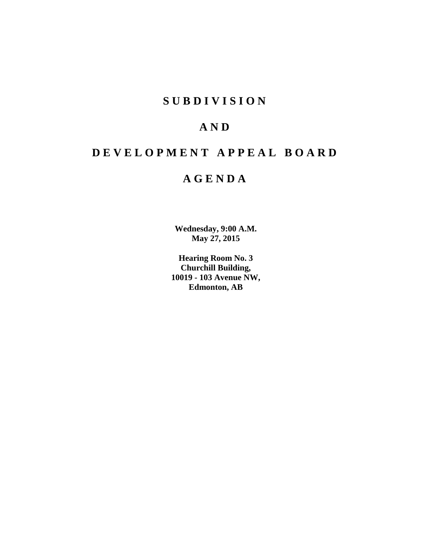# **S U B D I V I S I O N**

# **A N D**

# **D E V E L O P M E N T A P P E A L B O A R D**

# **A G E N D A**

**Wednesday, 9:00 A.M. May 27, 2015**

**Hearing Room No. 3 Churchill Building, 10019 - 103 Avenue NW, Edmonton, AB**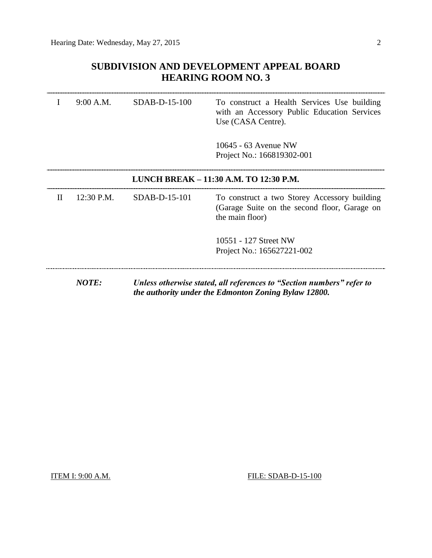## **SUBDIVISION AND DEVELOPMENT APPEAL BOARD HEARING ROOM NO. 3**

|   | 9:00 A.M.                              | SDAB-D-15-100 | To construct a Health Services Use building<br>with an Accessory Public Education Services<br>Use (CASA Centre).              |
|---|----------------------------------------|---------------|-------------------------------------------------------------------------------------------------------------------------------|
|   |                                        |               | 10645 - 63 Avenue NW<br>Project No.: 166819302-001                                                                            |
|   | LUNCH BREAK - 11:30 A.M. TO 12:30 P.M. |               |                                                                                                                               |
| Н | 12:30 P.M.                             | SDAB-D-15-101 | To construct a two Storey Accessory building<br>(Garage Suite on the second floor, Garage on<br>the main floor)               |
|   |                                        |               | 10551 - 127 Street NW<br>Project No.: 165627221-002                                                                           |
|   | <b>NOTE:</b>                           |               | Unless otherwise stated, all references to "Section numbers" refer to<br>the authority under the Edmonton Zoning Bylaw 12800. |

**ITEM I: 9:00 A.M. FILE: SDAB-D-15-100**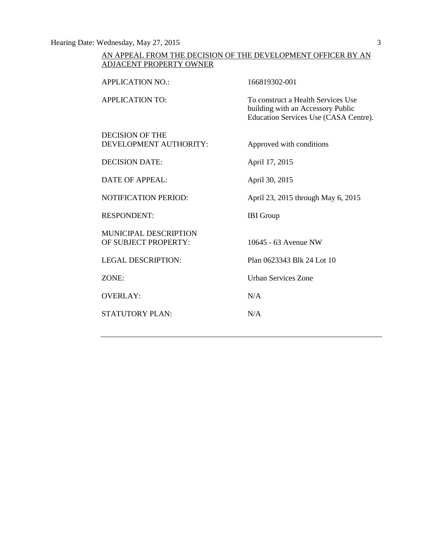Hearing Date: Wednesday, May 27, 2015 3

## AN APPEAL FROM THE DECISION OF THE DEVELOPMENT OFFICER BY AN ADJACENT PROPERTY OWNER

| <b>APPLICATION NO.:</b>                          | 166819302-001                                                                                                    |
|--------------------------------------------------|------------------------------------------------------------------------------------------------------------------|
| <b>APPLICATION TO:</b>                           | To construct a Health Services Use<br>building with an Accessory Public<br>Education Services Use (CASA Centre). |
| <b>DECISION OF THE</b><br>DEVELOPMENT AUTHORITY: | Approved with conditions                                                                                         |
| <b>DECISION DATE:</b>                            | April 17, 2015                                                                                                   |
| <b>DATE OF APPEAL:</b>                           | April 30, 2015                                                                                                   |
| <b>NOTIFICATION PERIOD:</b>                      | April 23, 2015 through May 6, 2015                                                                               |
| <b>RESPONDENT:</b>                               | <b>IBI</b> Group                                                                                                 |
| MUNICIPAL DESCRIPTION<br>OF SUBJECT PROPERTY:    | 10645 - 63 Avenue NW                                                                                             |
| <b>LEGAL DESCRIPTION:</b>                        | Plan 0623343 Blk 24 Lot 10                                                                                       |
| ZONE:                                            | <b>Urban Services Zone</b>                                                                                       |
| <b>OVERLAY:</b>                                  | N/A                                                                                                              |
| <b>STATUTORY PLAN:</b>                           | N/A                                                                                                              |
|                                                  |                                                                                                                  |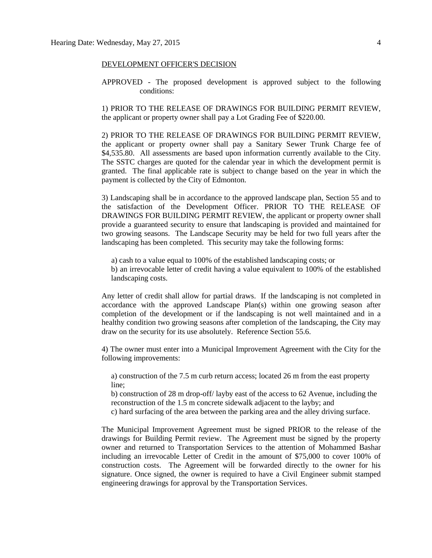#### DEVELOPMENT OFFICER'S DECISION

APPROVED - The proposed development is approved subject to the following conditions:

1) PRIOR TO THE RELEASE OF DRAWINGS FOR BUILDING PERMIT REVIEW, the applicant or property owner shall pay a Lot Grading Fee of \$220.00.

2) PRIOR TO THE RELEASE OF DRAWINGS FOR BUILDING PERMIT REVIEW, the applicant or property owner shall pay a Sanitary Sewer Trunk Charge fee of \$4,535.80. All assessments are based upon information currently available to the City. The SSTC charges are quoted for the calendar year in which the development permit is granted. The final applicable rate is subject to change based on the year in which the payment is collected by the City of Edmonton.

3) Landscaping shall be in accordance to the approved landscape plan, Section 55 and to the satisfaction of the Development Officer. PRIOR TO THE RELEASE OF DRAWINGS FOR BUILDING PERMIT REVIEW, the applicant or property owner shall provide a guaranteed security to ensure that landscaping is provided and maintained for two growing seasons. The Landscape Security may be held for two full years after the landscaping has been completed. This security may take the following forms:

a) cash to a value equal to 100% of the established landscaping costs; or

b) an irrevocable letter of credit having a value equivalent to 100% of the established landscaping costs.

Any letter of credit shall allow for partial draws. If the landscaping is not completed in accordance with the approved Landscape Plan(s) within one growing season after completion of the development or if the landscaping is not well maintained and in a healthy condition two growing seasons after completion of the landscaping, the City may draw on the security for its use absolutely. Reference Section 55.6.

4) The owner must enter into a Municipal Improvement Agreement with the City for the following improvements:

a) construction of the 7.5 m curb return access; located 26 m from the east property line;

b) construction of 28 m drop-off/ layby east of the access to 62 Avenue, including the reconstruction of the 1.5 m concrete sidewalk adjacent to the layby; and

c) hard surfacing of the area between the parking area and the alley driving surface.

The Municipal Improvement Agreement must be signed PRIOR to the release of the drawings for Building Permit review. The Agreement must be signed by the property owner and returned to Transportation Services to the attention of Mohammed Bashar including an irrevocable Letter of Credit in the amount of \$75,000 to cover 100% of construction costs. The Agreement will be forwarded directly to the owner for his signature. Once signed, the owner is required to have a Civil Engineer submit stamped engineering drawings for approval by the Transportation Services.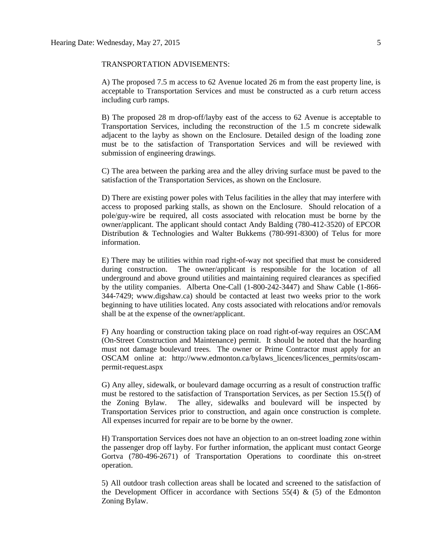#### TRANSPORTATION ADVISEMENTS:

A) The proposed 7.5 m access to 62 Avenue located 26 m from the east property line, is acceptable to Transportation Services and must be constructed as a curb return access including curb ramps.

B) The proposed 28 m drop-off/layby east of the access to 62 Avenue is acceptable to Transportation Services, including the reconstruction of the 1.5 m concrete sidewalk adjacent to the layby as shown on the Enclosure. Detailed design of the loading zone must be to the satisfaction of Transportation Services and will be reviewed with submission of engineering drawings.

C) The area between the parking area and the alley driving surface must be paved to the satisfaction of the Transportation Services, as shown on the Enclosure.

D) There are existing power poles with Telus facilities in the alley that may interfere with access to proposed parking stalls, as shown on the Enclosure. Should relocation of a pole/guy-wire be required, all costs associated with relocation must be borne by the owner/applicant. The applicant should contact Andy Balding (780-412-3520) of EPCOR Distribution & Technologies and Walter Bukkems (780-991-8300) of Telus for more information.

E) There may be utilities within road right-of-way not specified that must be considered during construction. The owner/applicant is responsible for the location of all underground and above ground utilities and maintaining required clearances as specified by the utility companies. Alberta One-Call (1-800-242-3447) and Shaw Cable (1-866- 344-7429; www.digshaw.ca) should be contacted at least two weeks prior to the work beginning to have utilities located. Any costs associated with relocations and/or removals shall be at the expense of the owner/applicant.

F) Any hoarding or construction taking place on road right-of-way requires an OSCAM (On-Street Construction and Maintenance) permit. It should be noted that the hoarding must not damage boulevard trees. The owner or Prime Contractor must apply for an OSCAM online at: http://www.edmonton.ca/bylaws\_licences/licences\_permits/oscampermit-request.aspx

G) Any alley, sidewalk, or boulevard damage occurring as a result of construction traffic must be restored to the satisfaction of Transportation Services, as per Section 15.5(f) of the Zoning Bylaw. The alley, sidewalks and boulevard will be inspected by Transportation Services prior to construction, and again once construction is complete. All expenses incurred for repair are to be borne by the owner.

H) Transportation Services does not have an objection to an on-street loading zone within the passenger drop off layby. For further information, the applicant must contact George Gortva (780-496-2671) of Transportation Operations to coordinate this on-street operation.

5) All outdoor trash collection areas shall be located and screened to the satisfaction of the Development Officer in accordance with Sections  $55(4)$  &  $(5)$  of the Edmonton Zoning Bylaw.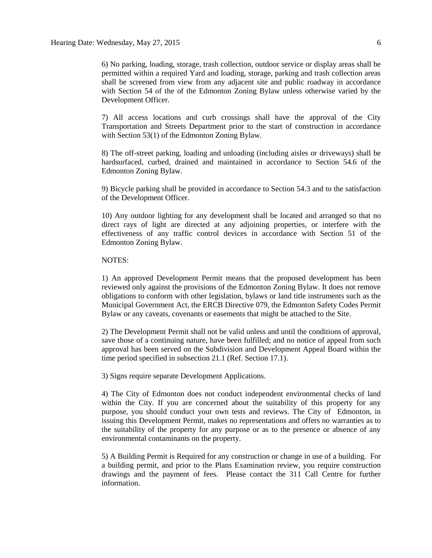7) All access locations and curb crossings shall have the approval of the City Transportation and Streets Department prior to the start of construction in accordance with Section 53(1) of the Edmonton Zoning Bylaw.

8) The off-street parking, loading and unloading (including aisles or driveways) shall be hardsurfaced, curbed, drained and maintained in accordance to Section 54.6 of the Edmonton Zoning Bylaw.

9) Bicycle parking shall be provided in accordance to Section 54.3 and to the satisfaction of the Development Officer.

10) Any outdoor lighting for any development shall be located and arranged so that no direct rays of light are directed at any adjoining properties, or interfere with the effectiveness of any traffic control devices in accordance with Section 51 of the Edmonton Zoning Bylaw.

#### NOTES:

1) An approved Development Permit means that the proposed development has been reviewed only against the provisions of the Edmonton Zoning Bylaw. It does not remove obligations to conform with other legislation, bylaws or land title instruments such as the Municipal Government Act, the ERCB Directive 079, the Edmonton Safety Codes Permit Bylaw or any caveats, covenants or easements that might be attached to the Site.

2) The Development Permit shall not be valid unless and until the conditions of approval, save those of a continuing nature, have been fulfilled; and no notice of appeal from such approval has been served on the Subdivision and Development Appeal Board within the time period specified in subsection 21.1 (Ref. Section 17.1).

3) Signs require separate Development Applications.

4) The City of Edmonton does not conduct independent environmental checks of land within the City. If you are concerned about the suitability of this property for any purpose, you should conduct your own tests and reviews. The City of Edmonton, in issuing this Development Permit, makes no representations and offers no warranties as to the suitability of the property for any purpose or as to the presence or absence of any environmental contaminants on the property.

5) A Building Permit is Required for any construction or change in use of a building. For a building permit, and prior to the Plans Examination review, you require construction drawings and the payment of fees. Please contact the 311 Call Centre for further information.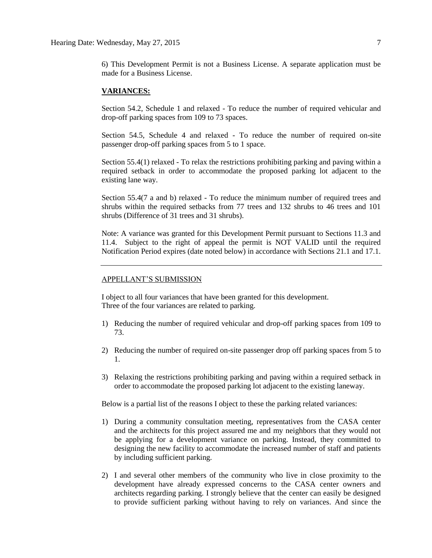6) This Development Permit is not a Business License. A separate application must be made for a Business License.

#### **VARIANCES:**

Section 54.2, Schedule 1 and relaxed - To reduce the number of required vehicular and drop-off parking spaces from 109 to 73 spaces.

Section 54.5, Schedule 4 and relaxed - To reduce the number of required on-site passenger drop-off parking spaces from 5 to 1 space.

Section 55.4(1) relaxed - To relax the restrictions prohibiting parking and paving within a required setback in order to accommodate the proposed parking lot adjacent to the existing lane way.

Section 55.4(7 a and b) relaxed - To reduce the minimum number of required trees and shrubs within the required setbacks from 77 trees and 132 shrubs to 46 trees and 101 shrubs (Difference of 31 trees and 31 shrubs).

Note: A variance was granted for this Development Permit pursuant to Sections 11.3 and 11.4. Subject to the right of appeal the permit is NOT VALID until the required Notification Period expires (date noted below) in accordance with Sections 21.1 and 17.1.

#### APPELLANT'S SUBMISSION

I object to all four variances that have been granted for this development. Three of the four variances are related to parking.

- 1) Reducing the number of required vehicular and drop-off parking spaces from 109 to 73.
- 2) Reducing the number of required on-site passenger drop off parking spaces from 5 to 1.
- 3) Relaxing the restrictions prohibiting parking and paving within a required setback in order to accommodate the proposed parking lot adjacent to the existing laneway.

Below is a partial list of the reasons I object to these the parking related variances:

- 1) During a community consultation meeting, representatives from the CASA center and the architects for this project assured me and my neighbors that they would not be applying for a development variance on parking. Instead, they committed to designing the new facility to accommodate the increased number of staff and patients by including sufficient parking.
- 2) I and several other members of the community who live in close proximity to the development have already expressed concerns to the CASA center owners and architects regarding parking. I strongly believe that the center can easily be designed to provide sufficient parking without having to rely on variances. And since the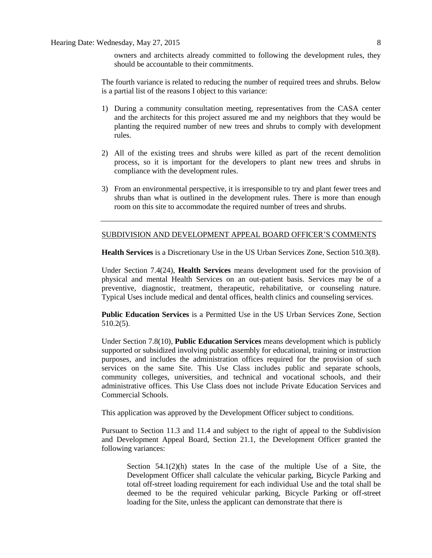owners and architects already committed to following the development rules, they should be accountable to their commitments.

The fourth variance is related to reducing the number of required trees and shrubs. Below is a partial list of the reasons I object to this variance:

- 1) During a community consultation meeting, representatives from the CASA center and the architects for this project assured me and my neighbors that they would be planting the required number of new trees and shrubs to comply with development rules.
- 2) All of the existing trees and shrubs were killed as part of the recent demolition process, so it is important for the developers to plant new trees and shrubs in compliance with the development rules.
- 3) From an environmental perspective, it is irresponsible to try and plant fewer trees and shrubs than what is outlined in the development rules. There is more than enough room on this site to accommodate the required number of trees and shrubs.

#### SUBDIVISION AND DEVELOPMENT APPEAL BOARD OFFICER'S COMMENTS

**Health Services** is a Discretionary Use in the US Urban Services Zone, Section 510.3(8).

Under Section 7.4(24), **Health Services** means development used for the provision of physical and mental Health Services on an out-patient basis. Services may be of a preventive, diagnostic, treatment, therapeutic, rehabilitative, or counseling nature. Typical Uses include medical and dental offices, health clinics and counseling services.

**Public Education Services** is a Permitted Use in the US Urban Services Zone, Section 510.2(5).

Under Section 7.8(10), **Public Education Services** means development which is publicly supported or subsidized involving public assembly for educational, training or instruction purposes, and includes the administration offices required for the provision of such services on the same Site. This Use Class includes public and separate schools, community colleges, universities, and technical and vocational schools, and their administrative offices. This Use Class does not include Private Education Services and Commercial Schools.

This application was approved by the Development Officer subject to conditions.

Pursuant to Section 11.3 and 11.4 and subject to the right of appeal to the Subdivision and Development Appeal Board, Section 21.1, the Development Officer granted the following variances:

Section  $54.1(2)(h)$  states In the case of the multiple Use of a Site, the Development Officer shall calculate the vehicular parking, Bicycle Parking and total off-street loading requirement for each individual Use and the total shall be deemed to be the required vehicular parking, Bicycle Parking or off-street loading for the Site, unless the applicant can demonstrate that there is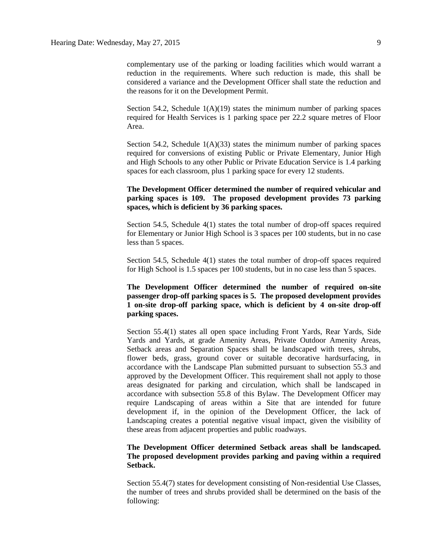Section 54.2, Schedule  $1(A)(19)$  states the minimum number of parking spaces required for Health Services is 1 parking space per 22.2 square metres of Floor Area.

Section 54.2, Schedule  $1(A)(33)$  states the minimum number of parking spaces required for conversions of existing Public or Private Elementary, Junior High and High Schools to any other Public or Private Education Service is 1.4 parking spaces for each classroom, plus 1 parking space for every 12 students.

#### **The Development Officer determined the number of required vehicular and parking spaces is 109. The proposed development provides 73 parking spaces, which is deficient by 36 parking spaces.**

Section 54.5, Schedule 4(1) states the total number of drop-off spaces required for Elementary or Junior High School is 3 spaces per 100 students, but in no case less than 5 spaces.

Section 54.5, Schedule 4(1) states the total number of drop-off spaces required for High School is 1.5 spaces per 100 students, but in no case less than 5 spaces.

**The Development Officer determined the number of required on-site passenger drop-off parking spaces is 5. The proposed development provides 1 on-site drop-off parking space, which is deficient by 4 on-site drop-off parking spaces.**

Section 55.4(1) states all open space including Front Yards, Rear Yards, Side Yards and Yards, at grade Amenity Areas, Private Outdoor Amenity Areas, Setback areas and Separation Spaces shall be landscaped with trees, shrubs, flower beds, grass, ground cover or suitable decorative hardsurfacing, in accordance with the Landscape Plan submitted pursuant to subsection 55.3 and approved by the Development Officer. This requirement shall not apply to those areas designated for parking and circulation, which shall be landscaped in accordance with subsection 55.8 of this Bylaw. The Development Officer may require Landscaping of areas within a Site that are intended for future development if, in the opinion of the Development Officer, the lack of Landscaping creates a potential negative visual impact, given the visibility of these areas from adjacent properties and public roadways.

### **The Development Officer determined Setback areas shall be landscaped. The proposed development provides parking and paving within a required Setback.**

Section 55.4(7) states for development consisting of Non-residential Use Classes, the number of trees and shrubs provided shall be determined on the basis of the following: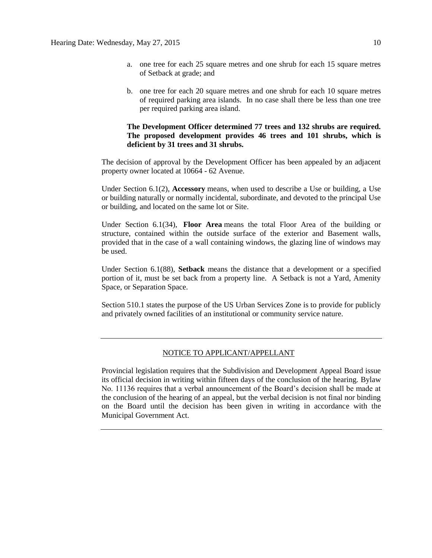- a. one tree for each 25 square metres and one shrub for each 15 square metres of Setback at grade; and
- b. one tree for each 20 square metres and one shrub for each 10 square metres of required parking area islands. In no case shall there be less than one tree per required parking area island.

#### **The Development Officer determined 77 trees and 132 shrubs are required. The proposed development provides 46 trees and 101 shrubs, which is deficient by 31 trees and 31 shrubs.**

The decision of approval by the Development Officer has been appealed by an adjacent property owner located at 10664 - 62 Avenue.

Under Section 6.1(2), **Accessory** means, when used to describe a Use or building, a Use or building naturally or normally incidental, subordinate, and devoted to the principal Use or building, and located on the same lot or Site.

Under Section 6.1(34), **Floor Area** means the total Floor Area of the building or structure, contained within the outside surface of the exterior and Basement walls, provided that in the case of a wall containing windows, the glazing line of windows may be used.

Under Section 6.1(88), **Setback** means the distance that a development or a specified portion of it, must be set back from a property line. A Setback is not a Yard, Amenity Space, or Separation Space.

Section 510.1 states the purpose of the US Urban Services Zone is to provide for publicly and privately owned facilities of an institutional or community service nature.

#### NOTICE TO APPLICANT/APPELLANT

Provincial legislation requires that the Subdivision and Development Appeal Board issue its official decision in writing within fifteen days of the conclusion of the hearing. Bylaw No. 11136 requires that a verbal announcement of the Board's decision shall be made at the conclusion of the hearing of an appeal, but the verbal decision is not final nor binding on the Board until the decision has been given in writing in accordance with the Municipal Government Act.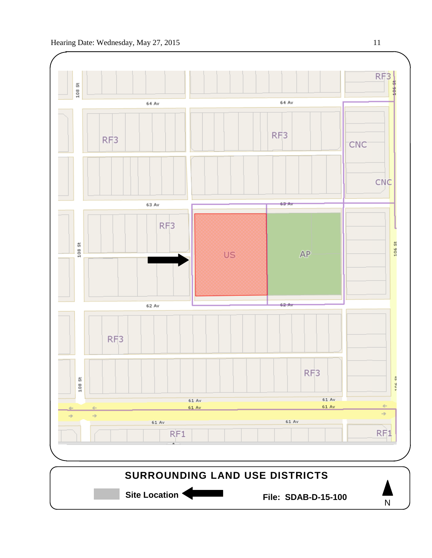



Site Location **Communist Contract Prime: SDAB-D-15-100** 

N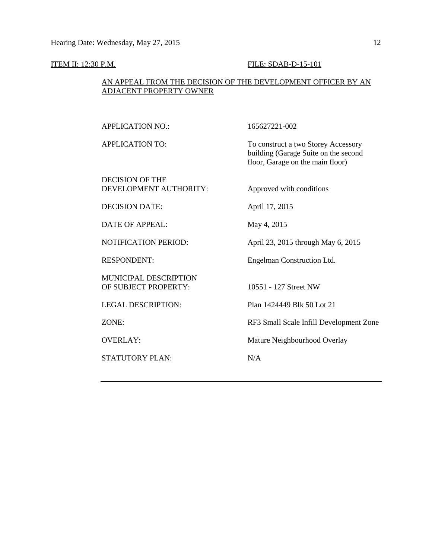## **ITEM II: 12:30 P.M.** FILE: SDAB-D-15-101

## AN APPEAL FROM THE DECISION OF THE DEVELOPMENT OFFICER BY AN ADJACENT PROPERTY OWNER

| <b>APPLICATION NO.:</b>                       | 165627221-002                                                                                                   |
|-----------------------------------------------|-----------------------------------------------------------------------------------------------------------------|
| <b>APPLICATION TO:</b>                        | To construct a two Storey Accessory<br>building (Garage Suite on the second<br>floor, Garage on the main floor) |
| DECISION OF THE<br>DEVELOPMENT AUTHORITY:     | Approved with conditions                                                                                        |
| <b>DECISION DATE:</b>                         | April 17, 2015                                                                                                  |
| DATE OF APPEAL:                               | May 4, 2015                                                                                                     |
| <b>NOTIFICATION PERIOD:</b>                   | April 23, 2015 through May 6, 2015                                                                              |
| <b>RESPONDENT:</b>                            | Engelman Construction Ltd.                                                                                      |
| MUNICIPAL DESCRIPTION<br>OF SUBJECT PROPERTY: | 10551 - 127 Street NW                                                                                           |
| <b>LEGAL DESCRIPTION:</b>                     | Plan 1424449 Blk 50 Lot 21                                                                                      |
| ZONE:                                         | RF3 Small Scale Infill Development Zone                                                                         |
| <b>OVERLAY:</b>                               | Mature Neighbourhood Overlay                                                                                    |
| <b>STATUTORY PLAN:</b>                        | N/A                                                                                                             |
|                                               |                                                                                                                 |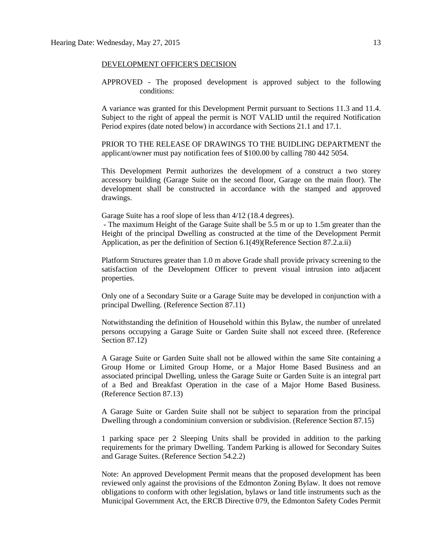#### DEVELOPMENT OFFICER'S DECISION

APPROVED - The proposed development is approved subject to the following conditions:

A variance was granted for this Development Permit pursuant to Sections 11.3 and 11.4. Subject to the right of appeal the permit is NOT VALID until the required Notification Period expires (date noted below) in accordance with Sections 21.1 and 17.1.

PRIOR TO THE RELEASE OF DRAWINGS TO THE BUIDLING DEPARTMENT the applicant/owner must pay notification fees of \$100.00 by calling 780 442 5054.

This Development Permit authorizes the development of a construct a two storey accessory building (Garage Suite on the second floor, Garage on the main floor). The development shall be constructed in accordance with the stamped and approved drawings.

Garage Suite has a roof slope of less than 4/12 (18.4 degrees).

- The maximum Height of the Garage Suite shall be 5.5 m or up to 1.5m greater than the Height of the principal Dwelling as constructed at the time of the Development Permit Application, as per the definition of Section 6.1(49)(Reference Section 87.2.a.ii)

Platform Structures greater than 1.0 m above Grade shall provide privacy screening to the satisfaction of the Development Officer to prevent visual intrusion into adjacent properties.

Only one of a Secondary Suite or a Garage Suite may be developed in conjunction with a principal Dwelling. (Reference Section 87.11)

Notwithstanding the definition of Household within this Bylaw, the number of unrelated persons occupying a Garage Suite or Garden Suite shall not exceed three. (Reference Section 87.12)

A Garage Suite or Garden Suite shall not be allowed within the same Site containing a Group Home or Limited Group Home, or a Major Home Based Business and an associated principal Dwelling, unless the Garage Suite or Garden Suite is an integral part of a Bed and Breakfast Operation in the case of a Major Home Based Business. (Reference Section 87.13)

A Garage Suite or Garden Suite shall not be subject to separation from the principal Dwelling through a condominium conversion or subdivision. (Reference Section 87.15)

1 parking space per 2 Sleeping Units shall be provided in addition to the parking requirements for the primary Dwelling. Tandem Parking is allowed for Secondary Suites and Garage Suites. (Reference Section 54.2.2)

Note: An approved Development Permit means that the proposed development has been reviewed only against the provisions of the Edmonton Zoning Bylaw. It does not remove obligations to conform with other legislation, bylaws or land title instruments such as the Municipal Government Act, the ERCB Directive 079, the Edmonton Safety Codes Permit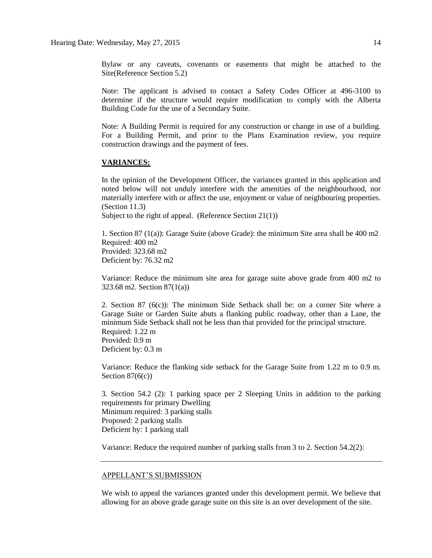Bylaw or any caveats, covenants or easements that might be attached to the Site(Reference Section 5.2)

Note: The applicant is advised to contact a Safety Codes Officer at 496-3100 to determine if the structure would require modification to comply with the Alberta Building Code for the use of a Secondary Suite.

Note: A Building Permit is required for any construction or change in use of a building. For a Building Permit, and prior to the Plans Examination review, you require construction drawings and the payment of fees.

#### **VARIANCES:**

In the opinion of the Development Officer, the variances granted in this application and noted below will not unduly interfere with the amenities of the neighbourhood, nor materially interfere with or affect the use, enjoyment or value of neighbouring properties. (Section 11.3)

Subject to the right of appeal. (Reference Section 21(1))

1. Section 87 (1(a)): Garage Suite (above Grade): the minimum Site area shall be 400 m2 Required: 400 m2 Provided: 323.68 m2 Deficient by: 76.32 m2

Variance: Reduce the minimum site area for garage suite above grade from 400 m2 to 323.68 m2. Section 87(1(a))

2. Section 87 (6(c)): The minimum Side Setback shall be: on a corner Site where a Garage Suite or Garden Suite abuts a flanking public roadway, other than a Lane, the minimum Side Setback shall not be less than that provided for the principal structure. Required: 1.22 m Provided: 0.9 m Deficient by: 0.3 m

Variance: Reduce the flanking side setback for the Garage Suite from 1.22 m to 0.9 m. Section  $87(6(c))$ 

3. Section 54.2 (2): 1 parking space per 2 Sleeping Units in addition to the parking requirements for primary Dwelling Minimum required: 3 parking stalls Proposed: 2 parking stalls Deficient by: 1 parking stall

Variance: Reduce the required number of parking stalls from 3 to 2. Section 54.2(2):

#### APPELLANT'S SUBMISSION

We wish to appeal the variances granted under this development permit. We believe that allowing for an above grade garage suite on this site is an over development of the site.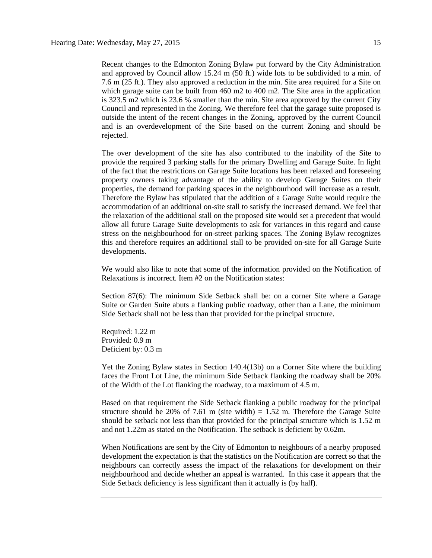Recent changes to the Edmonton Zoning Bylaw put forward by the City Administration and approved by Council allow 15.24 m (50 ft.) wide lots to be subdivided to a min. of 7.6 m (25 ft.). They also approved a reduction in the min. Site area required for a Site on which garage suite can be built from  $460 \text{ m}$  to  $400 \text{ m}$ . The Site area in the application is 323.5 m2 which is 23.6 % smaller than the min. Site area approved by the current City Council and represented in the Zoning. We therefore feel that the garage suite proposed is outside the intent of the recent changes in the Zoning, approved by the current Council and is an overdevelopment of the Site based on the current Zoning and should be rejected.

The over development of the site has also contributed to the inability of the Site to provide the required 3 parking stalls for the primary Dwelling and Garage Suite. In light of the fact that the restrictions on Garage Suite locations has been relaxed and foreseeing property owners taking advantage of the ability to develop Garage Suites on their properties, the demand for parking spaces in the neighbourhood will increase as a result. Therefore the Bylaw has stipulated that the addition of a Garage Suite would require the accommodation of an additional on-site stall to satisfy the increased demand. We feel that the relaxation of the additional stall on the proposed site would set a precedent that would allow all future Garage Suite developments to ask for variances in this regard and cause stress on the neighbourhood for on-street parking spaces. The Zoning Bylaw recognizes this and therefore requires an additional stall to be provided on-site for all Garage Suite developments.

We would also like to note that some of the information provided on the Notification of Relaxations is incorrect. Item #2 on the Notification states:

Section 87(6): The minimum Side Setback shall be: on a corner Site where a Garage Suite or Garden Suite abuts a flanking public roadway, other than a Lane, the minimum Side Setback shall not be less than that provided for the principal structure.

Required: 1.22 m Provided: 0.9 m Deficient by: 0.3 m

Yet the Zoning Bylaw states in Section 140.4(13b) on a Corner Site where the building faces the Front Lot Line, the minimum Side Setback flanking the roadway shall be 20% of the Width of the Lot flanking the roadway, to a maximum of 4.5 m.

Based on that requirement the Side Setback flanking a public roadway for the principal structure should be 20% of 7.61 m (site width)  $= 1.52$  m. Therefore the Garage Suite should be setback not less than that provided for the principal structure which is 1.52 m and not 1.22m as stated on the Notification. The setback is deficient by 0.62m.

When Notifications are sent by the City of Edmonton to neighbours of a nearby proposed development the expectation is that the statistics on the Notification are correct so that the neighbours can correctly assess the impact of the relaxations for development on their neighbourhood and decide whether an appeal is warranted. In this case it appears that the Side Setback deficiency is less significant than it actually is (by half).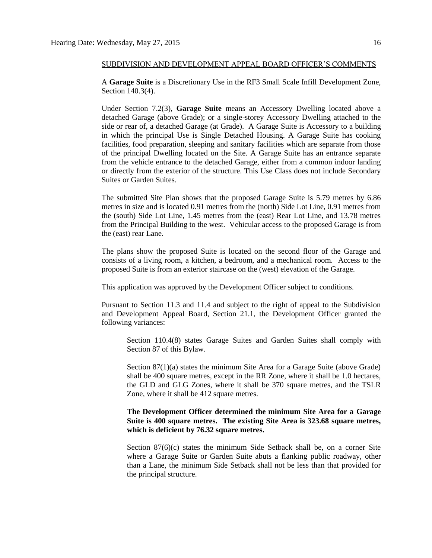#### SUBDIVISION AND DEVELOPMENT APPEAL BOARD OFFICER'S COMMENTS

A **Garage Suite** is a Discretionary Use in the RF3 Small Scale Infill Development Zone, Section 140.3(4).

Under Section 7.2(3), **Garage Suite** means an Accessory Dwelling located above a detached Garage (above Grade); or a single-storey Accessory Dwelling attached to the side or rear of, a detached Garage (at Grade). A Garage Suite is Accessory to a building in which the principal Use is Single Detached Housing. A Garage Suite has cooking facilities, food preparation, sleeping and sanitary facilities which are separate from those of the principal Dwelling located on the Site. A Garage Suite has an entrance separate from the vehicle entrance to the detached Garage, either from a common indoor landing or directly from the exterior of the structure. This Use Class does not include Secondary Suites or Garden Suites.

The submitted Site Plan shows that the proposed Garage Suite is 5.79 metres by 6.86 metres in size and is located 0.91 metres from the (north) Side Lot Line, 0.91 metres from the (south) Side Lot Line, 1.45 metres from the (east) Rear Lot Line, and 13.78 metres from the Principal Building to the west. Vehicular access to the proposed Garage is from the (east) rear Lane.

The plans show the proposed Suite is located on the second floor of the Garage and consists of a living room, a kitchen, a bedroom, and a mechanical room. Access to the proposed Suite is from an exterior staircase on the (west) elevation of the Garage.

This application was approved by the Development Officer subject to conditions.

Pursuant to Section 11.3 and 11.4 and subject to the right of appeal to the Subdivision and Development Appeal Board, Section 21.1, the Development Officer granted the following variances:

Section 110.4(8) states Garage Suites and Garden Suites shall comply with Section 87 of this Bylaw.

Section 87(1)(a) states the minimum Site Area for a Garage Suite (above Grade) shall be 400 square metres, except in the RR Zone, where it shall be 1.0 hectares, the GLD and GLG Zones, where it shall be 370 square metres, and the TSLR Zone, where it shall be 412 square metres.

### **The Development Officer determined the minimum Site Area for a Garage Suite is 400 square metres. The existing Site Area is 323.68 square metres, which is deficient by 76.32 square metres.**

Section 87(6)(c) states the minimum Side Setback shall be, on a corner Site where a Garage Suite or Garden Suite abuts a flanking public roadway, other than a Lane, the minimum Side Setback shall not be less than that provided for the principal structure.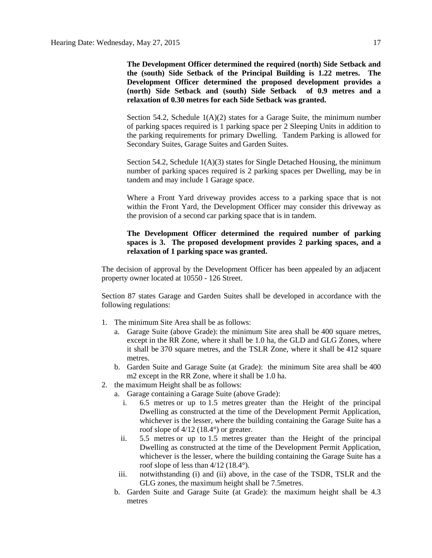**The Development Officer determined the required (north) Side Setback and the (south) Side Setback of the Principal Building is 1.22 metres. The Development Officer determined the proposed development provides a (north) Side Setback and (south) Side Setback of 0.9 metres and a relaxation of 0.30 metres for each Side Setback was granted.**

Section 54.2, Schedule  $1(A)(2)$  states for a Garage Suite, the minimum number of parking spaces required is 1 parking space per 2 Sleeping Units in addition to the parking requirements for primary Dwelling. Tandem Parking is allowed for Secondary Suites, Garage Suites and Garden Suites.

Section 54.2, Schedule 1(A)(3) states for Single Detached Housing, the minimum number of parking spaces required is 2 parking spaces per Dwelling, may be in tandem and may include 1 Garage space.

Where a Front Yard driveway provides access to a parking space that is not within the Front Yard, the Development Officer may consider this driveway as the provision of a second car parking space that is in tandem.

## **The Development Officer determined the required number of parking spaces is 3. The proposed development provides 2 parking spaces, and a relaxation of 1 parking space was granted.**

The decision of approval by the Development Officer has been appealed by an adjacent property owner located at 10550 - 126 Street.

Section 87 states Garage and Garden Suites shall be developed in accordance with the following regulations:

- 1. The minimum Site Area shall be as follows:
	- a. Garage Suite (above Grade): the minimum Site area shall be 400 square metres, except in the RR Zone, where it shall be 1.0 ha, the GLD and GLG Zones, where it shall be 370 square metres, and the TSLR Zone, where it shall be 412 square metres.
	- b. Garden Suite and Garage Suite (at Grade): the minimum Site area shall be [400](javascript:BSSCPopup()  [m2](javascript:BSSCPopup() except in the RR Zone, where it shall be 1.0 ha.
- 2. the maximum Height shall be as follows:
	- a. Garage containing a Garage Suite (above Grade):
		- i. [6.5 me](javascript:BSSCPopup()tres or up to [1.5 me](javascript:BSSCPopup()tres greater than the Height of the principal Dwelling as constructed at the time of the Development Permit Application, whichever is the lesser, where the building containing the Garage Suite has a roof slope of 4/12 (18.4°) or greater.
		- ii. [5.5 me](javascript:BSSCPopup()tres or up to [1.5 me](javascript:BSSCPopup()tres greater than the Height of the principal Dwelling as constructed at the time of the Development Permit Application, whichever is the lesser, where the building containing the Garage Suite has a roof slope of less than 4/12 (18.4°).
	- iii. notwithstanding (i) and (ii) above, in the case of the TSDR, TSLR and the GLG zones, the maximum height shall be [7.5metres.](javascript:BSSCPopup()
	- b. Garden Suite and Garage Suite (at Grade): the maximum height shall be 4.3 metres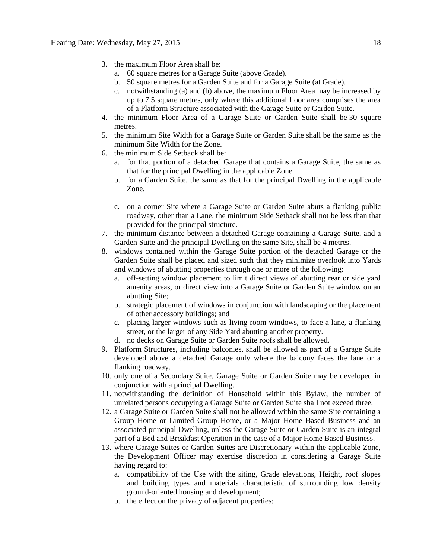- 3. the maximum Floor Area shall be:
	- a. 60 square metres for a Garage Suite (above Grade).
	- b. 50 square metres for a Garden Suite and for a Garage Suite (at Grade).
	- c. notwithstanding (a) and (b) above, the maximum Floor Area may be increased by up to 7.5 square metres, only where this additional floor area comprises the area of a Platform Structure associated with the Garage Suite or Garden Suite.
- 4. the minimum Floor Area of a Garage Suite or Garden Suite shall be 30 square metres.
- 5. the minimum Site Width for a Garage Suite or Garden Suite shall be the same as the minimum Site Width for the Zone.
- 6. the minimum Side Setback shall be:
	- a. for that portion of a detached Garage that contains a Garage Suite, the same as that for the principal Dwelling in the applicable Zone.
	- b. for a Garden Suite, the same as that for the principal Dwelling in the applicable Zone.
	- c. on a corner Site where a Garage Suite or Garden Suite abuts a flanking public roadway, other than a Lane, the minimum Side Setback shall not be less than that provided for the principal structure.
- 7. the minimum distance between a detached Garage containing a Garage Suite, and a Garden Suite and the principal Dwelling on the same Site, shall be 4 metres.
- 8. windows contained within the Garage Suite portion of the detached Garage or the Garden Suite shall be placed and sized such that they minimize overlook into Yards and windows of abutting properties through one or more of the following:
	- a. off-setting window placement to limit direct views of abutting rear or side yard amenity areas, or direct view into a Garage Suite or Garden Suite window on an abutting Site;
	- b. strategic placement of windows in conjunction with landscaping or the placement of other accessory buildings; and
	- c. placing larger windows such as living room windows, to face a lane, a flanking street, or the larger of any Side Yard abutting another property.
	- d. no decks on Garage Suite or Garden Suite roofs shall be allowed.
- 9. Platform Structures, including balconies, shall be allowed as part of a Garage Suite developed above a detached Garage only where the balcony faces the lane or a flanking roadway.
- 10. only one of a Secondary Suite, Garage Suite or Garden Suite may be developed in conjunction with a principal Dwelling.
- 11. notwithstanding the definition of Household within this Bylaw, the number of unrelated persons occupying a Garage Suite or Garden Suite shall not exceed three.
- 12. a Garage Suite or Garden Suite shall not be allowed within the same Site containing a Group Home or Limited Group Home, or a Major Home Based Business and an associated principal Dwelling, unless the Garage Suite or Garden Suite is an integral part of a Bed and Breakfast Operation in the case of a Major Home Based Business.
- 13. where Garage Suites or Garden Suites are Discretionary within the applicable Zone, the Development Officer may exercise discretion in considering a Garage Suite having regard to:
	- a. compatibility of the Use with the siting, Grade elevations, Height, roof slopes and building types and materials characteristic of surrounding low density ground-oriented housing and development;
	- b. the effect on the privacy of adjacent properties;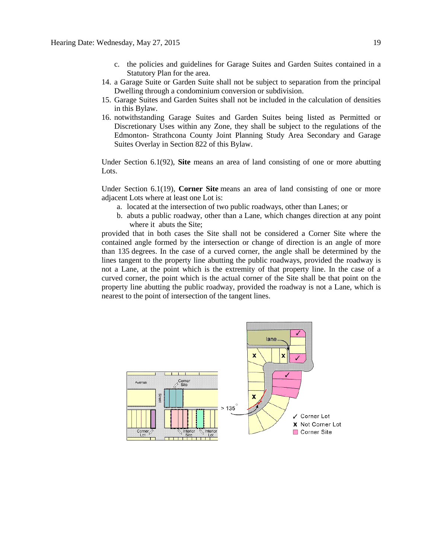- c. the policies and guidelines for Garage Suites and Garden Suites contained in a Statutory Plan for the area.
- 14. a Garage Suite or Garden Suite shall not be subject to separation from the principal Dwelling through a condominium conversion or subdivision.
- 15. Garage Suites and Garden Suites shall not be included in the calculation of densities in this Bylaw.
- 16. notwithstanding Garage Suites and Garden Suites being listed as Permitted or Discretionary Uses within any Zone, they shall be subject to the regulations of the Edmonton- Strathcona County Joint Planning Study Area Secondary and Garage Suites Overlay in [Section 822](http://webdocs.edmonton.ca/InfraPlan/zoningbylaw/ZoningBylaw/Part2/Overlays/822_822_Edmonton_Strathcona_County_Joint_Planning_Study_Area_Secondary_and_Garage_Suites_Overlay.htm) of this Bylaw.

Under Section 6.1(92), **Site** means an area of land consisting of one or more abutting Lots.

Under Section 6.1(19), **Corner Site** means an area of land consisting of one or more adjacent Lots where at least one Lot is:

- a. located at the intersection of two public roadways, other than Lanes; or
- b. abuts a public roadway, other than a Lane, which changes direction at any point where it abuts the Site;

provided that in both cases the Site shall not be considered a Corner Site where the contained angle formed by the intersection or change of direction is an angle of more than 135 degrees. In the case of a curved corner, the angle shall be determined by the lines tangent to the property line abutting the public roadways, provided the roadway is not a Lane, at the point which is the extremity of that property line. In the case of a curved corner, the point which is the actual corner of the Site shall be that point on the property line abutting the public roadway, provided the roadway is not a Lane, which is nearest to the point of intersection of the tangent lines.

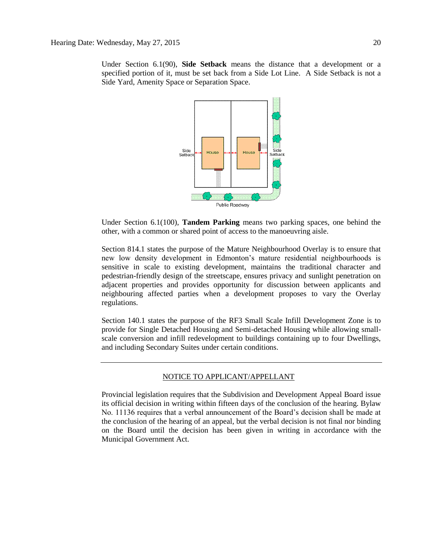Under Section 6.1(90), **Side Setback** means the distance that a development or a specified portion of it, must be set back from a Side Lot Line. A Side Setback is not a Side Yard, Amenity Space or Separation Space.



Under Section 6.1(100), **Tandem Parking** means two parking spaces, one behind the other, with a common or shared point of access to the manoeuvring aisle.

Section 814.1 states the purpose of the Mature Neighbourhood Overlay is to ensure that new low density development in Edmonton's mature residential neighbourhoods is sensitive in scale to existing development, maintains the traditional character and pedestrian-friendly design of the streetscape, ensures privacy and sunlight penetration on adjacent properties and provides opportunity for discussion between applicants and neighbouring affected parties when a development proposes to vary the Overlay regulations.

Section 140.1 states the purpose of the RF3 Small Scale Infill Development Zone is to provide for Single Detached Housing and Semi-detached Housing while allowing smallscale conversion and infill redevelopment to buildings containing up to four Dwellings, and including Secondary Suites under certain conditions.

#### NOTICE TO APPLICANT/APPELLANT

Provincial legislation requires that the Subdivision and Development Appeal Board issue its official decision in writing within fifteen days of the conclusion of the hearing. Bylaw No. 11136 requires that a verbal announcement of the Board's decision shall be made at the conclusion of the hearing of an appeal, but the verbal decision is not final nor binding on the Board until the decision has been given in writing in accordance with the Municipal Government Act.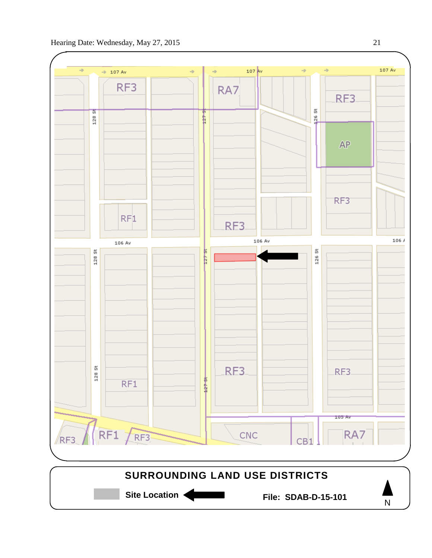